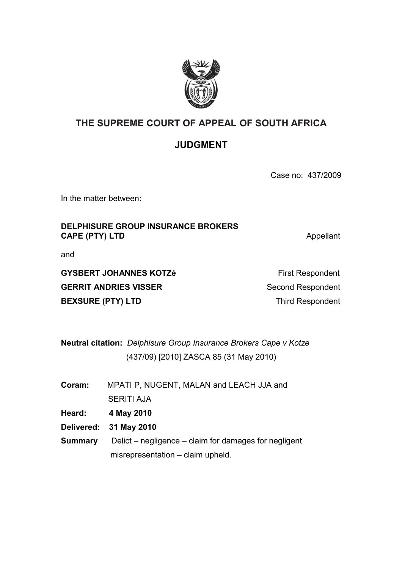

# **THE SUPREME COURT OF APPEAL OF SOUTH AFRICA**

## **JUDGMENT**

Case no: 437/2009

In the matter between:

### **DELPHISURE GROUP INSURANCE BROKERS CAPE (PTY) LTD** Appellant

and

**GYSBERT JOHANNES KOTZé First Respondent** GERRIT ANDRIES VISSER Second Respondent **BEXSURE (PTY) LTD** Third Respondent

**Neutral citation:** *Delphisure Group Insurance Brokers Cape v Kotze* (437/09) [2010] ZASCA 85 (31 May 2010)

| Coram: | MPATI P, NUGENT, MALAN and LEACH JJA and |
|--------|------------------------------------------|
|        | <b>SERITI AJA</b>                        |

**Heard: 4 May 2010**

- **Delivered: 31 May 2010**
- **Summary** Delict negligence claim for damages for negligent misrepresentation – claim upheld.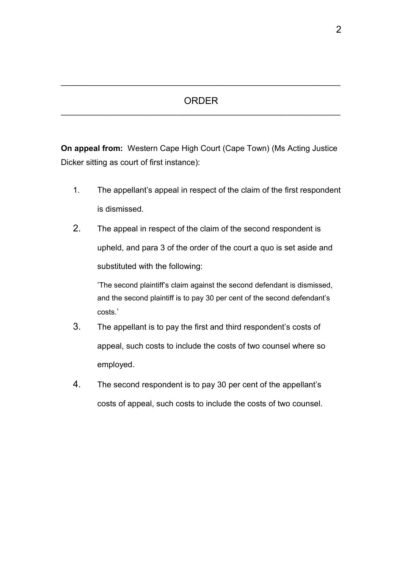#### ORDER  $\mathcal{L}_\text{max}$  , and the contract of the contract of the contract of the contract of the contract of the contract of the contract of the contract of the contract of the contract of the contract of the contract of the contr

 $\mathcal{L}_\text{max} = \mathcal{L}_\text{max} = \mathcal{L}_\text{max} = \mathcal{L}_\text{max} = \mathcal{L}_\text{max} = \mathcal{L}_\text{max} = \mathcal{L}_\text{max} = \mathcal{L}_\text{max} = \mathcal{L}_\text{max} = \mathcal{L}_\text{max} = \mathcal{L}_\text{max} = \mathcal{L}_\text{max} = \mathcal{L}_\text{max} = \mathcal{L}_\text{max} = \mathcal{L}_\text{max} = \mathcal{L}_\text{max} = \mathcal{L}_\text{max} = \mathcal{L}_\text{max} = \mathcal{$ 

**On appeal from:** Western Cape High Court (Cape Town) (Ms Acting Justice Dicker sitting as court of first instance):

- 1. The appellant's appeal in respect of the claim of the first respondent is dismissed.
- 2. The appeal in respect of the claim of the second respondent is upheld, and para 3 of the order of the court a quo is set aside and substituted with the following:

'The second plaintiff's claim against the second defendant is dismissed, and the second plaintiff is to pay 30 per cent of the second defendant's costs.'

- 3. The appellant is to pay the first and third respondent's costs of appeal, such costs to include the costs of two counsel where so employed.
- 4. The second respondent is to pay 30 per cent of the appellant's costs of appeal, such costs to include the costs of two counsel.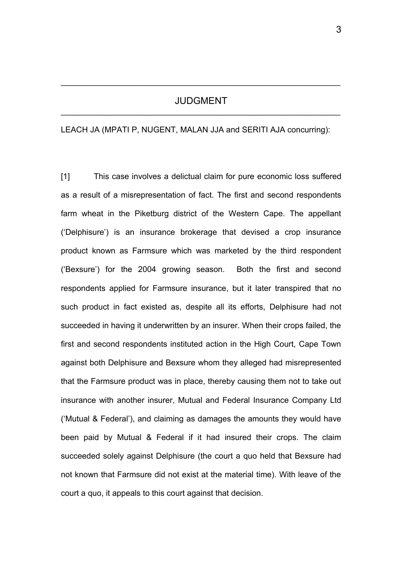#### JUDGMENT  $\mathcal{L}_\text{max}$  , and the contract of the contract of the contract of the contract of the contract of the contract of the contract of the contract of the contract of the contract of the contract of the contract of the contr

 $\mathcal{L}_\text{max} = \mathcal{L}_\text{max} = \mathcal{L}_\text{max} = \mathcal{L}_\text{max} = \mathcal{L}_\text{max} = \mathcal{L}_\text{max} = \mathcal{L}_\text{max} = \mathcal{L}_\text{max} = \mathcal{L}_\text{max} = \mathcal{L}_\text{max} = \mathcal{L}_\text{max} = \mathcal{L}_\text{max} = \mathcal{L}_\text{max} = \mathcal{L}_\text{max} = \mathcal{L}_\text{max} = \mathcal{L}_\text{max} = \mathcal{L}_\text{max} = \mathcal{L}_\text{max} = \mathcal{$ 

LEACH JA (MPATI P, NUGENT, MALAN JJA and SERITI AJA concurring):

[1] This case involves a delictual claim for pure economic loss suffered as a result of a misrepresentation of fact. The first and second respondents farm wheat in the Piketburg district of the Western Cape. The appellant ('Delphisure') is an insurance brokerage that devised a crop insurance product known as Farmsure which was marketed by the third respondent ('Bexsure') for the 2004 growing season. Both the first and second respondents applied for Farmsure insurance, but it later transpired that no such product in fact existed as, despite all its efforts, Delphisure had not succeeded in having it underwritten by an insurer. When their crops failed, the first and second respondents instituted action in the High Court, Cape Town against both Delphisure and Bexsure whom they alleged had misrepresented that the Farmsure product was in place, thereby causing them not to take out insurance with another insurer, Mutual and Federal Insurance Company Ltd ('Mutual & Federal'), and claiming as damages the amounts they would have been paid by Mutual & Federal if it had insured their crops. The claim succeeded solely against Delphisure (the court a quo held that Bexsure had not known that Farmsure did not exist at the material time). With leave of the court a quo, it appeals to this court against that decision.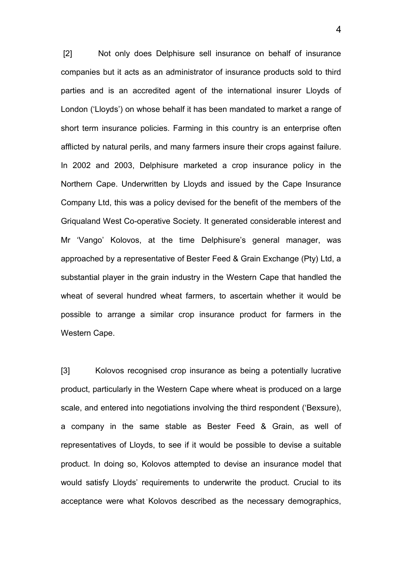[2] Not only does Delphisure sell insurance on behalf of insurance companies but it acts as an administrator of insurance products sold to third parties and is an accredited agent of the international insurer Lloyds of London ('Lloyds') on whose behalf it has been mandated to market a range of short term insurance policies. Farming in this country is an enterprise often afflicted by natural perils, and many farmers insure their crops against failure. In 2002 and 2003, Delphisure marketed a crop insurance policy in the Northern Cape. Underwritten by Lloyds and issued by the Cape Insurance Company Ltd, this was a policy devised for the benefit of the members of the Griqualand West Co-operative Society. It generated considerable interest and Mr 'Vango' Kolovos, at the time Delphisure's general manager, was approached by a representative of Bester Feed & Grain Exchange (Pty) Ltd, a substantial player in the grain industry in the Western Cape that handled the wheat of several hundred wheat farmers, to ascertain whether it would be possible to arrange a similar crop insurance product for farmers in the Western Cape.

[3] Kolovos recognised crop insurance as being a potentially lucrative product, particularly in the Western Cape where wheat is produced on a large scale, and entered into negotiations involving the third respondent ('Bexsure), a company in the same stable as Bester Feed & Grain, as well of representatives of Lloyds, to see if it would be possible to devise a suitable product. In doing so, Kolovos attempted to devise an insurance model that would satisfy Lloyds' requirements to underwrite the product. Crucial to its acceptance were what Kolovos described as the necessary demographics,

4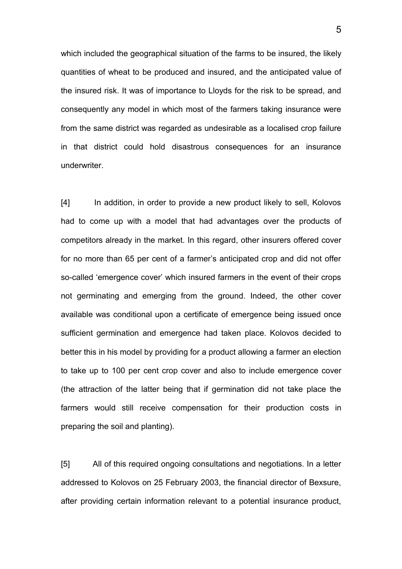which included the geographical situation of the farms to be insured, the likely quantities of wheat to be produced and insured, and the anticipated value of the insured risk. It was of importance to Lloyds for the risk to be spread, and consequently any model in which most of the farmers taking insurance were from the same district was regarded as undesirable as a localised crop failure in that district could hold disastrous consequences for an insurance underwriter.

[4] In addition, in order to provide a new product likely to sell, Kolovos had to come up with a model that had advantages over the products of competitors already in the market. In this regard, other insurers offered cover for no more than 65 per cent of a farmer's anticipated crop and did not offer so-called 'emergence cover' which insured farmers in the event of their crops not germinating and emerging from the ground. Indeed, the other cover available was conditional upon a certificate of emergence being issued once sufficient germination and emergence had taken place. Kolovos decided to better this in his model by providing for a product allowing a farmer an election to take up to 100 per cent crop cover and also to include emergence cover (the attraction of the latter being that if germination did not take place the farmers would still receive compensation for their production costs in preparing the soil and planting).

[5] All of this required ongoing consultations and negotiations. In a letter addressed to Kolovos on 25 February 2003, the financial director of Bexsure, after providing certain information relevant to a potential insurance product,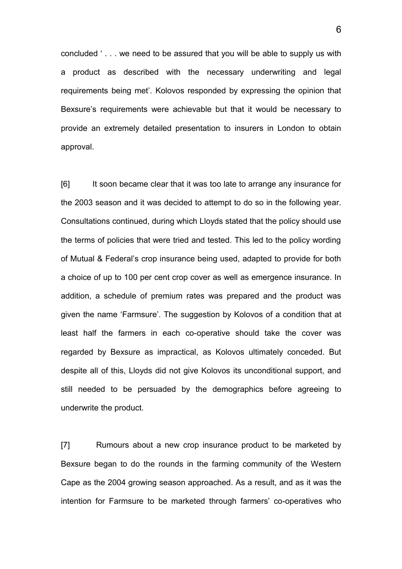concluded ' . . . we need to be assured that you will be able to supply us with a product as described with the necessary underwriting and legal requirements being met'. Kolovos responded by expressing the opinion that Bexsure's requirements were achievable but that it would be necessary to provide an extremely detailed presentation to insurers in London to obtain approval.

[6] It soon became clear that it was too late to arrange any insurance for the 2003 season and it was decided to attempt to do so in the following year. Consultations continued, during which Lloyds stated that the policy should use the terms of policies that were tried and tested. This led to the policy wording of Mutual & Federal's crop insurance being used, adapted to provide for both a choice of up to 100 per cent crop cover as well as emergence insurance. In addition, a schedule of premium rates was prepared and the product was given the name 'Farmsure'. The suggestion by Kolovos of a condition that at least half the farmers in each co-operative should take the cover was regarded by Bexsure as impractical, as Kolovos ultimately conceded. But despite all of this, Lloyds did not give Kolovos its unconditional support, and still needed to be persuaded by the demographics before agreeing to underwrite the product.

[7] Rumours about a new crop insurance product to be marketed by Bexsure began to do the rounds in the farming community of the Western Cape as the 2004 growing season approached. As a result, and as it was the intention for Farmsure to be marketed through farmers' co-operatives who

6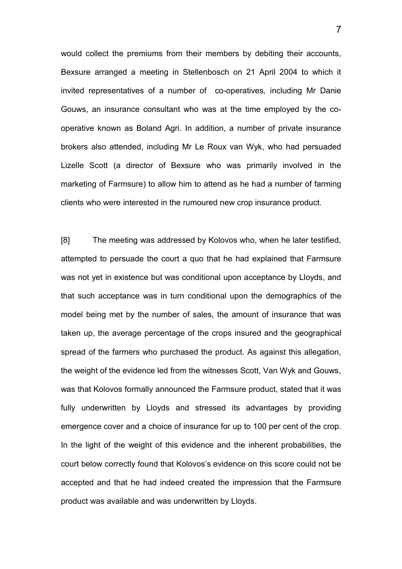would collect the premiums from their members by debiting their accounts, Bexsure arranged a meeting in Stellenbosch on 21 April 2004 to which it invited representatives of a number of co-operatives, including Mr Danie Gouws, an insurance consultant who was at the time employed by the cooperative known as Boland Agri. In addition, a number of private insurance brokers also attended, including Mr Le Roux van Wyk, who had persuaded Lizelle Scott (a director of Bexsure who was primarily involved in the marketing of Farmsure) to allow him to attend as he had a number of farming clients who were interested in the rumoured new crop insurance product.

[8] The meeting was addressed by Kolovos who, when he later testified, attempted to persuade the court a quo that he had explained that Farmsure was not yet in existence but was conditional upon acceptance by Lloyds, and that such acceptance was in turn conditional upon the demographics of the model being met by the number of sales, the amount of insurance that was taken up, the average percentage of the crops insured and the geographical spread of the farmers who purchased the product. As against this allegation, the weight of the evidence led from the witnesses Scott, Van Wyk and Gouws, was that Kolovos formally announced the Farmsure product, stated that it was fully underwritten by Lloyds and stressed its advantages by providing emergence cover and a choice of insurance for up to 100 per cent of the crop. In the light of the weight of this evidence and the inherent probabilities, the court below correctly found that Kolovos's evidence on this score could not be accepted and that he had indeed created the impression that the Farmsure product was available and was underwritten by Lloyds.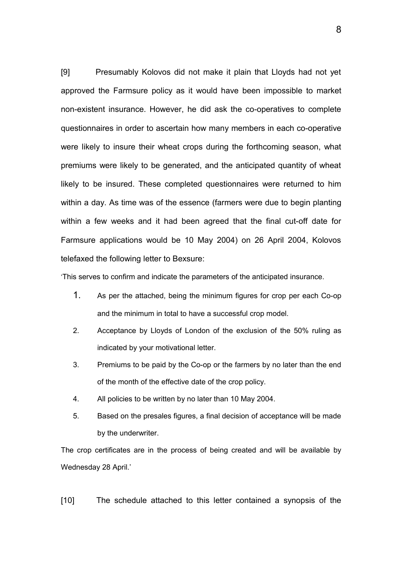[9] Presumably Kolovos did not make it plain that Lloyds had not yet approved the Farmsure policy as it would have been impossible to market non-existent insurance. However, he did ask the co-operatives to complete questionnaires in order to ascertain how many members in each co-operative were likely to insure their wheat crops during the forthcoming season, what premiums were likely to be generated, and the anticipated quantity of wheat likely to be insured. These completed questionnaires were returned to him within a day. As time was of the essence (farmers were due to begin planting within a few weeks and it had been agreed that the final cut-off date for Farmsure applications would be 10 May 2004) on 26 April 2004, Kolovos telefaxed the following letter to Bexsure:

'This serves to confirm and indicate the parameters of the anticipated insurance.

- 1. As per the attached, being the minimum figures for crop per each Co-op and the minimum in total to have a successful crop model.
- 2. Acceptance by Lloyds of London of the exclusion of the 50% ruling as indicated by your motivational letter.
- 3. Premiums to be paid by the Co-op or the farmers by no later than the end of the month of the effective date of the crop policy.
- 4. All policies to be written by no later than 10 May 2004.
- 5. Based on the presales figures, a final decision of acceptance will be made by the underwriter.

The crop certificates are in the process of being created and will be available by Wednesday 28 April.'

[10] The schedule attached to this letter contained a synopsis of the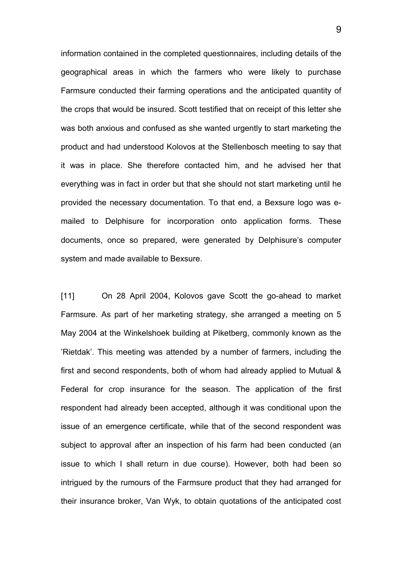information contained in the completed questionnaires, including details of the geographical areas in which the farmers who were likely to purchase Farmsure conducted their farming operations and the anticipated quantity of the crops that would be insured. Scott testified that on receipt of this letter she was both anxious and confused as she wanted urgently to start marketing the product and had understood Kolovos at the Stellenbosch meeting to say that it was in place. She therefore contacted him, and he advised her that everything was in fact in order but that she should not start marketing until he provided the necessary documentation. To that end, a Bexsure logo was emailed to Delphisure for incorporation onto application forms. These documents, once so prepared, were generated by Delphisure's computer system and made available to Bexsure.

[11] On 28 April 2004, Kolovos gave Scott the go-ahead to market Farmsure. As part of her marketing strategy, she arranged a meeting on 5 May 2004 at the Winkelshoek building at Piketberg, commonly known as the 'Rietdak'. This meeting was attended by a number of farmers, including the first and second respondents, both of whom had already applied to Mutual & Federal for crop insurance for the season. The application of the first respondent had already been accepted, although it was conditional upon the issue of an emergence certificate, while that of the second respondent was subject to approval after an inspection of his farm had been conducted (an issue to which I shall return in due course). However, both had been so intrigued by the rumours of the Farmsure product that they had arranged for their insurance broker, Van Wyk, to obtain quotations of the anticipated cost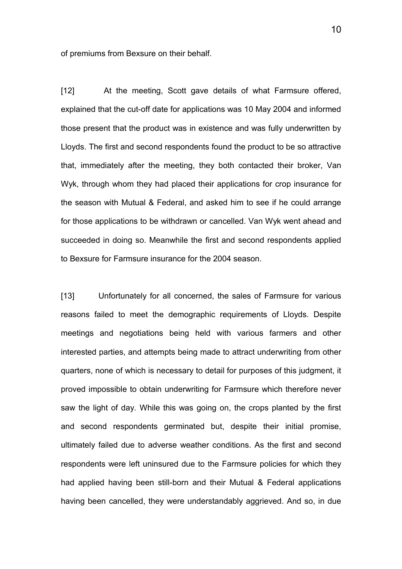of premiums from Bexsure on their behalf.

[12] At the meeting, Scott gave details of what Farmsure offered, explained that the cut-off date for applications was 10 May 2004 and informed those present that the product was in existence and was fully underwritten by Lloyds. The first and second respondents found the product to be so attractive that, immediately after the meeting, they both contacted their broker, Van Wyk, through whom they had placed their applications for crop insurance for the season with Mutual & Federal, and asked him to see if he could arrange for those applications to be withdrawn or cancelled. Van Wyk went ahead and succeeded in doing so. Meanwhile the first and second respondents applied to Bexsure for Farmsure insurance for the 2004 season.

[13] Unfortunately for all concerned, the sales of Farmsure for various reasons failed to meet the demographic requirements of Lloyds. Despite meetings and negotiations being held with various farmers and other interested parties, and attempts being made to attract underwriting from other quarters, none of which is necessary to detail for purposes of this judgment, it proved impossible to obtain underwriting for Farmsure which therefore never saw the light of day. While this was going on, the crops planted by the first and second respondents germinated but, despite their initial promise, ultimately failed due to adverse weather conditions. As the first and second respondents were left uninsured due to the Farmsure policies for which they had applied having been still-born and their Mutual & Federal applications having been cancelled, they were understandably aggrieved. And so, in due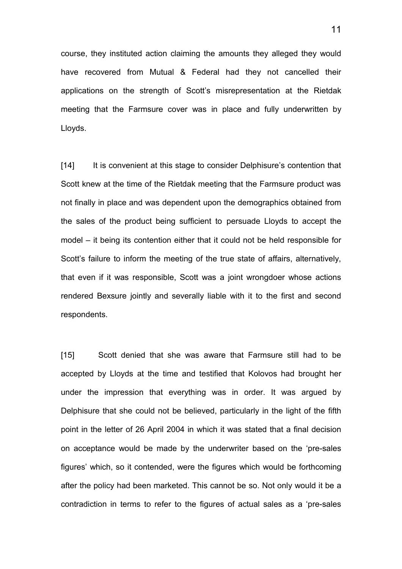course, they instituted action claiming the amounts they alleged they would have recovered from Mutual & Federal had they not cancelled their applications on the strength of Scott's misrepresentation at the Rietdak meeting that the Farmsure cover was in place and fully underwritten by Lloyds.

[14] It is convenient at this stage to consider Delphisure's contention that Scott knew at the time of the Rietdak meeting that the Farmsure product was not finally in place and was dependent upon the demographics obtained from the sales of the product being sufficient to persuade Lloyds to accept the model – it being its contention either that it could not be held responsible for Scott's failure to inform the meeting of the true state of affairs, alternatively, that even if it was responsible, Scott was a joint wrongdoer whose actions rendered Bexsure jointly and severally liable with it to the first and second respondents.

[15] Scott denied that she was aware that Farmsure still had to be accepted by Lloyds at the time and testified that Kolovos had brought her under the impression that everything was in order. It was argued by Delphisure that she could not be believed, particularly in the light of the fifth point in the letter of 26 April 2004 in which it was stated that a final decision on acceptance would be made by the underwriter based on the 'pre-sales figures' which, so it contended, were the figures which would be forthcoming after the policy had been marketed. This cannot be so. Not only would it be a contradiction in terms to refer to the figures of actual sales as a 'pre-sales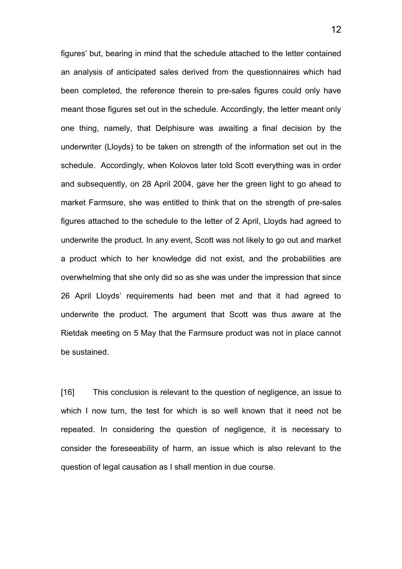figures' but, bearing in mind that the schedule attached to the letter contained an analysis of anticipated sales derived from the questionnaires which had been completed, the reference therein to pre-sales figures could only have meant those figures set out in the schedule. Accordingly, the letter meant only one thing, namely, that Delphisure was awaiting a final decision by the underwriter (Lloyds) to be taken on strength of the information set out in the schedule. Accordingly, when Kolovos later told Scott everything was in order and subsequently, on 28 April 2004, gave her the green light to go ahead to market Farmsure, she was entitled to think that on the strength of pre-sales figures attached to the schedule to the letter of 2 April, Lloyds had agreed to underwrite the product. In any event, Scott was not likely to go out and market a product which to her knowledge did not exist, and the probabilities are overwhelming that she only did so as she was under the impression that since 26 April Lloyds' requirements had been met and that it had agreed to underwrite the product. The argument that Scott was thus aware at the Rietdak meeting on 5 May that the Farmsure product was not in place cannot be sustained.

[16] This conclusion is relevant to the question of negligence, an issue to which I now turn, the test for which is so well known that it need not be repeated. In considering the question of negligence, it is necessary to consider the foreseeability of harm, an issue which is also relevant to the question of legal causation as I shall mention in due course.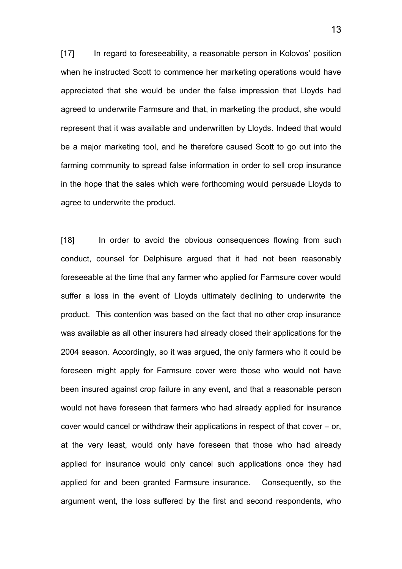[17] In regard to foreseeability, a reasonable person in Kolovos' position when he instructed Scott to commence her marketing operations would have appreciated that she would be under the false impression that Lloyds had agreed to underwrite Farmsure and that, in marketing the product, she would represent that it was available and underwritten by Lloyds. Indeed that would be a major marketing tool, and he therefore caused Scott to go out into the farming community to spread false information in order to sell crop insurance in the hope that the sales which were forthcoming would persuade Lloyds to agree to underwrite the product.

[18] In order to avoid the obvious consequences flowing from such conduct, counsel for Delphisure argued that it had not been reasonably foreseeable at the time that any farmer who applied for Farmsure cover would suffer a loss in the event of Lloyds ultimately declining to underwrite the product. This contention was based on the fact that no other crop insurance was available as all other insurers had already closed their applications for the 2004 season. Accordingly, so it was argued, the only farmers who it could be foreseen might apply for Farmsure cover were those who would not have been insured against crop failure in any event, and that a reasonable person would not have foreseen that farmers who had already applied for insurance cover would cancel or withdraw their applications in respect of that cover – or, at the very least, would only have foreseen that those who had already applied for insurance would only cancel such applications once they had applied for and been granted Farmsure insurance. Consequently, so the argument went, the loss suffered by the first and second respondents, who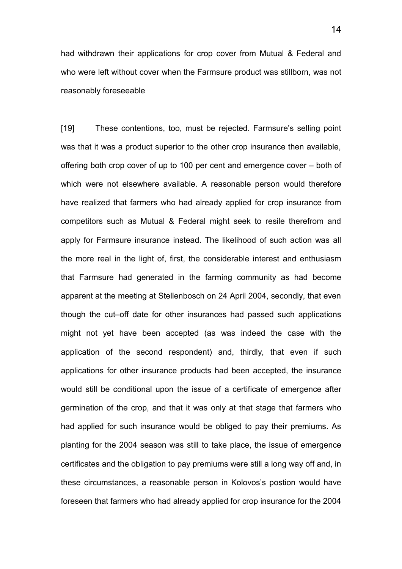had withdrawn their applications for crop cover from Mutual & Federal and who were left without cover when the Farmsure product was stillborn, was not reasonably foreseeable

[19] These contentions, too, must be rejected. Farmsure's selling point was that it was a product superior to the other crop insurance then available, offering both crop cover of up to 100 per cent and emergence cover – both of which were not elsewhere available. A reasonable person would therefore have realized that farmers who had already applied for crop insurance from competitors such as Mutual & Federal might seek to resile therefrom and apply for Farmsure insurance instead. The likelihood of such action was all the more real in the light of, first, the considerable interest and enthusiasm that Farmsure had generated in the farming community as had become apparent at the meeting at Stellenbosch on 24 April 2004, secondly, that even though the cut–off date for other insurances had passed such applications might not yet have been accepted (as was indeed the case with the application of the second respondent) and, thirdly, that even if such applications for other insurance products had been accepted, the insurance would still be conditional upon the issue of a certificate of emergence after germination of the crop, and that it was only at that stage that farmers who had applied for such insurance would be obliged to pay their premiums. As planting for the 2004 season was still to take place, the issue of emergence certificates and the obligation to pay premiums were still a long way off and, in these circumstances, a reasonable person in Kolovos's postion would have foreseen that farmers who had already applied for crop insurance for the 2004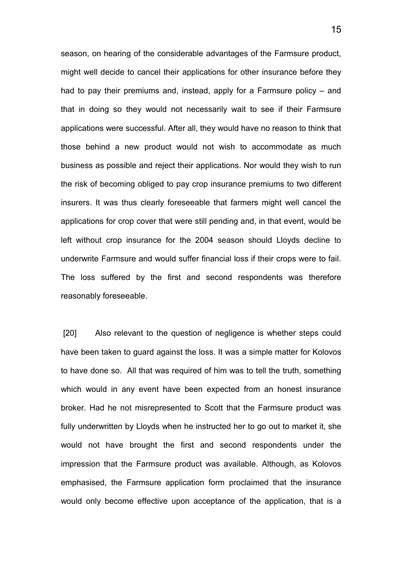season, on hearing of the considerable advantages of the Farmsure product, might well decide to cancel their applications for other insurance before they had to pay their premiums and, instead, apply for a Farmsure policy – and that in doing so they would not necessarily wait to see if their Farmsure applications were successful. After all, they would have no reason to think that those behind a new product would not wish to accommodate as much business as possible and reject their applications. Nor would they wish to run the risk of becoming obliged to pay crop insurance premiums to two different insurers. It was thus clearly foreseeable that farmers might well cancel the applications for crop cover that were still pending and, in that event, would be left without crop insurance for the 2004 season should Lloyds decline to underwrite Farmsure and would suffer financial loss if their crops were to fail. The loss suffered by the first and second respondents was therefore reasonably foreseeable.

 [20] Also relevant to the question of negligence is whether steps could have been taken to guard against the loss. It was a simple matter for Kolovos to have done so. All that was required of him was to tell the truth, something which would in any event have been expected from an honest insurance broker. Had he not misrepresented to Scott that the Farmsure product was fully underwritten by Lloyds when he instructed her to go out to market it, she would not have brought the first and second respondents under the impression that the Farmsure product was available. Although, as Kolovos emphasised, the Farmsure application form proclaimed that the insurance would only become effective upon acceptance of the application, that is a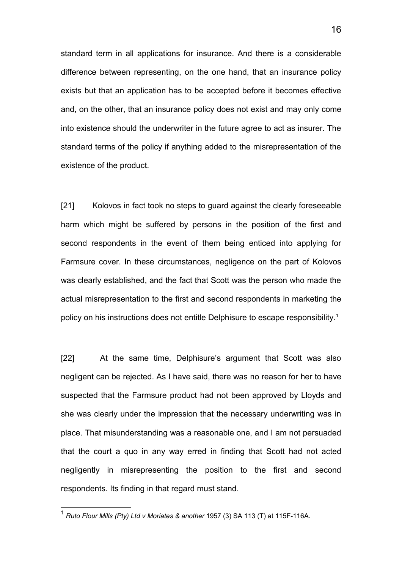standard term in all applications for insurance. And there is a considerable difference between representing, on the one hand, that an insurance policy exists but that an application has to be accepted before it becomes effective and, on the other, that an insurance policy does not exist and may only come into existence should the underwriter in the future agree to act as insurer. The standard terms of the policy if anything added to the misrepresentation of the existence of the product.

[21] Kolovos in fact took no steps to guard against the clearly foreseeable harm which might be suffered by persons in the position of the first and second respondents in the event of them being enticed into applying for Farmsure cover. In these circumstances, negligence on the part of Kolovos was clearly established, and the fact that Scott was the person who made the actual misrepresentation to the first and second respondents in marketing the policy on his instructions does not entitle Delphisure to escape responsibility.<sup>[1](#page-15-0)</sup>

[22] At the same time, Delphisure's argument that Scott was also negligent can be rejected. As I have said, there was no reason for her to have suspected that the Farmsure product had not been approved by Lloyds and she was clearly under the impression that the necessary underwriting was in place. That misunderstanding was a reasonable one, and I am not persuaded that the court a quo in any way erred in finding that Scott had not acted negligently in misrepresenting the position to the first and second respondents. Its finding in that regard must stand.

<span id="page-15-0"></span><sup>1</sup> *Ruto Flour Mills (Pty) Ltd v Moriates & another* 1957 (3) SA 113 (T) at 115F-116A.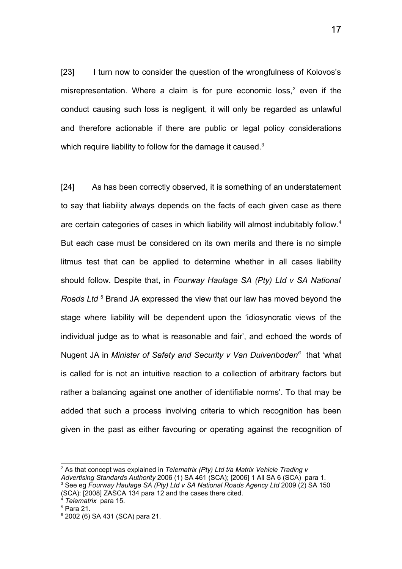[23] I turn now to consider the question of the wrongfulness of Kolovos's misrepresentation. Where a claim is for pure economic loss,<sup>[2](#page-16-0)</sup> even if the conduct causing such loss is negligent, it will only be regarded as unlawful and therefore actionable if there are public or legal policy considerations which require liability to follow for the damage it caused.<sup>[3](#page-16-1)</sup>

[24] As has been correctly observed, it is something of an understatement to say that liability always depends on the facts of each given case as there are certain categories of cases in which liability will almost indubitably follow.<sup>[4](#page-16-2)</sup> But each case must be considered on its own merits and there is no simple litmus test that can be applied to determine whether in all cases liability should follow. Despite that, in *Fourway Haulage SA (Pty) Ltd v SA National* Roads Ltd<sup>[5](#page-16-3)</sup> Brand JA expressed the view that our law has moved beyond the stage where liability will be dependent upon the 'idiosyncratic views of the individual judge as to what is reasonable and fair', and echoed the words of Nugent JA in *Minister of Safety and Security v Van Duivenboden[6](#page-16-4)* that 'what is called for is not an intuitive reaction to a collection of arbitrary factors but rather a balancing against one another of identifiable norms'. To that may be added that such a process involving criteria to which recognition has been given in the past as either favouring or operating against the recognition of

<span id="page-16-1"></span><span id="page-16-0"></span><sup>&</sup>lt;sup>2</sup> As that concept was explained in *Telematrix (Pty) Ltd t/a Matrix Vehicle Trading v Advertising Standards Authority* 2006 (1) SA 461 (SCA); [2006] 1 All SA 6 (SCA) para 1. <sup>3</sup> See eg Fourway Haulage SA (Pty) Ltd v SA National Roads Agency Ltd 2009 (2) SA 150 (SCA): [2008] ZASCA 134 para 12 and the cases there cited.

<span id="page-16-2"></span><sup>4</sup> *Telematrix* para 15.

<span id="page-16-3"></span><sup>5</sup> Para 21.

<span id="page-16-4"></span><sup>6</sup> 2002 (6) SA 431 (SCA) para 21.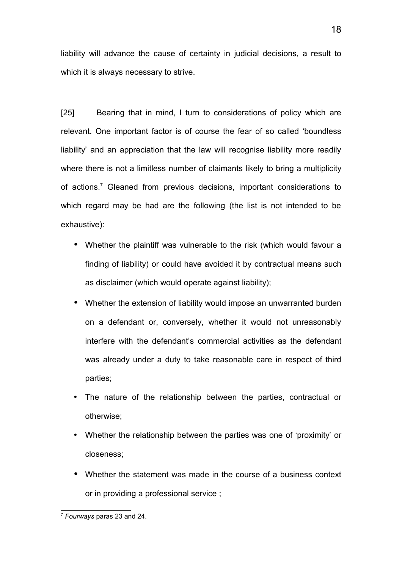liability will advance the cause of certainty in judicial decisions, a result to which it is always necessary to strive.

[25] Bearing that in mind, I turn to considerations of policy which are relevant. One important factor is of course the fear of so called 'boundless liability' and an appreciation that the law will recognise liability more readily where there is not a limitless number of claimants likely to bring a multiplicity of actions.<sup>[7](#page-17-0)</sup> Gleaned from previous decisions, important considerations to which regard may be had are the following (the list is not intended to be exhaustive):

- Whether the plaintiff was vulnerable to the risk (which would favour a finding of liability) or could have avoided it by contractual means such as disclaimer (which would operate against liability);
- Whether the extension of liability would impose an unwarranted burden on a defendant or, conversely, whether it would not unreasonably interfere with the defendant's commercial activities as the defendant was already under a duty to take reasonable care in respect of third parties;
- The nature of the relationship between the parties, contractual or otherwise;
- Whether the relationship between the parties was one of 'proximity' or closeness;
- Whether the statement was made in the course of a business context or in providing a professional service ;

<span id="page-17-0"></span><sup>7</sup> *Fourways* paras 23 and 24.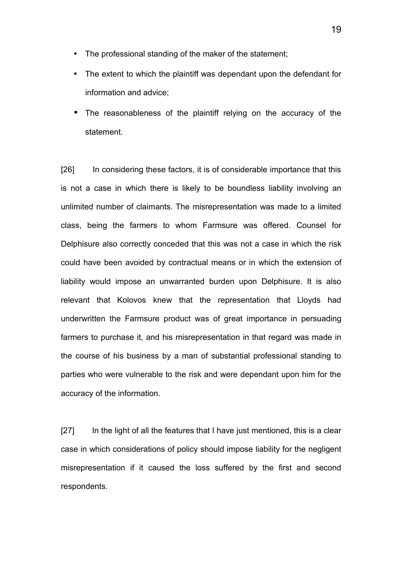- The professional standing of the maker of the statement;
- The extent to which the plaintiff was dependant upon the defendant for information and advice;
- The reasonableness of the plaintiff relying on the accuracy of the statement.

[26] In considering these factors, it is of considerable importance that this is not a case in which there is likely to be boundless liability involving an unlimited number of claimants. The misrepresentation was made to a limited class, being the farmers to whom Farmsure was offered. Counsel for Delphisure also correctly conceded that this was not a case in which the risk could have been avoided by contractual means or in which the extension of liability would impose an unwarranted burden upon Delphisure. It is also relevant that Kolovos knew that the representation that Lloyds had underwritten the Farmsure product was of great importance in persuading farmers to purchase it, and his misrepresentation in that regard was made in the course of his business by a man of substantial professional standing to parties who were vulnerable to the risk and were dependant upon him for the accuracy of the information.

[27] In the light of all the features that I have just mentioned, this is a clear case in which considerations of policy should impose liability for the negligent misrepresentation if it caused the loss suffered by the first and second respondents.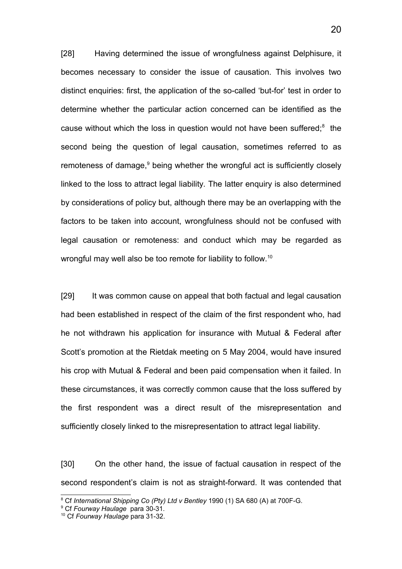[28] Having determined the issue of wrongfulness against Delphisure, it becomes necessary to consider the issue of causation. This involves two distinct enquiries: first, the application of the so-called 'but-for' test in order to determine whether the particular action concerned can be identified as the cause without which the loss in question would not have been suffered; $8$  the second being the question of legal causation, sometimes referred to as remoteness of damage,<sup>[9](#page-19-1)</sup> being whether the wrongful act is sufficiently closely linked to the loss to attract legal liability. The latter enquiry is also determined by considerations of policy but, although there may be an overlapping with the factors to be taken into account, wrongfulness should not be confused with legal causation or remoteness: and conduct which may be regarded as wrongful may well also be too remote for liability to follow.[10](#page-19-2)

[29] It was common cause on appeal that both factual and legal causation had been established in respect of the claim of the first respondent who, had he not withdrawn his application for insurance with Mutual & Federal after Scott's promotion at the Rietdak meeting on 5 May 2004, would have insured his crop with Mutual & Federal and been paid compensation when it failed. In these circumstances, it was correctly common cause that the loss suffered by the first respondent was a direct result of the misrepresentation and sufficiently closely linked to the misrepresentation to attract legal liability.

[30] On the other hand, the issue of factual causation in respect of the second respondent's claim is not as straight-forward. It was contended that

<span id="page-19-0"></span><sup>8</sup> Cf *International Shipping Co (Pty) Ltd v Bentley* 1990 (1) SA 680 (A) at 700F-G.

<span id="page-19-1"></span><sup>9</sup> Cf *Fourway Haulage* para 30-31.

<span id="page-19-2"></span><sup>10</sup> Cf *Fourway Haulage* para 31-32.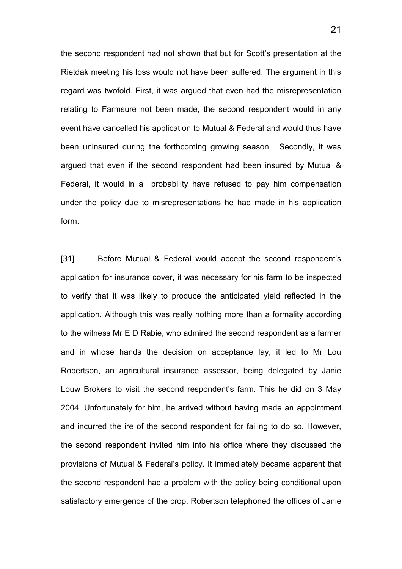the second respondent had not shown that but for Scott's presentation at the Rietdak meeting his loss would not have been suffered. The argument in this regard was twofold. First, it was argued that even had the misrepresentation relating to Farmsure not been made, the second respondent would in any event have cancelled his application to Mutual & Federal and would thus have been uninsured during the forthcoming growing season. Secondly, it was argued that even if the second respondent had been insured by Mutual & Federal, it would in all probability have refused to pay him compensation under the policy due to misrepresentations he had made in his application form.

[31] Before Mutual & Federal would accept the second respondent's application for insurance cover, it was necessary for his farm to be inspected to verify that it was likely to produce the anticipated yield reflected in the application. Although this was really nothing more than a formality according to the witness Mr E D Rabie, who admired the second respondent as a farmer and in whose hands the decision on acceptance lay, it led to Mr Lou Robertson, an agricultural insurance assessor, being delegated by Janie Louw Brokers to visit the second respondent's farm. This he did on 3 May 2004. Unfortunately for him, he arrived without having made an appointment and incurred the ire of the second respondent for failing to do so. However, the second respondent invited him into his office where they discussed the provisions of Mutual & Federal's policy. It immediately became apparent that the second respondent had a problem with the policy being conditional upon satisfactory emergence of the crop. Robertson telephoned the offices of Janie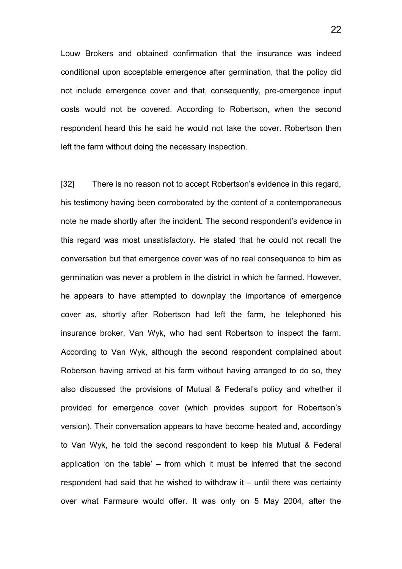Louw Brokers and obtained confirmation that the insurance was indeed conditional upon acceptable emergence after germination, that the policy did not include emergence cover and that, consequently, pre-emergence input costs would not be covered. According to Robertson, when the second respondent heard this he said he would not take the cover. Robertson then left the farm without doing the necessary inspection.

[32] There is no reason not to accept Robertson's evidence in this regard, his testimony having been corroborated by the content of a contemporaneous note he made shortly after the incident. The second respondent's evidence in this regard was most unsatisfactory. He stated that he could not recall the conversation but that emergence cover was of no real consequence to him as germination was never a problem in the district in which he farmed. However, he appears to have attempted to downplay the importance of emergence cover as, shortly after Robertson had left the farm, he telephoned his insurance broker, Van Wyk, who had sent Robertson to inspect the farm. According to Van Wyk, although the second respondent complained about Roberson having arrived at his farm without having arranged to do so, they also discussed the provisions of Mutual & Federal's policy and whether it provided for emergence cover (which provides support for Robertson's version). Their conversation appears to have become heated and, accordingy to Van Wyk, he told the second respondent to keep his Mutual & Federal application 'on the table' – from which it must be inferred that the second respondent had said that he wished to withdraw it – until there was certainty over what Farmsure would offer. It was only on 5 May 2004, after the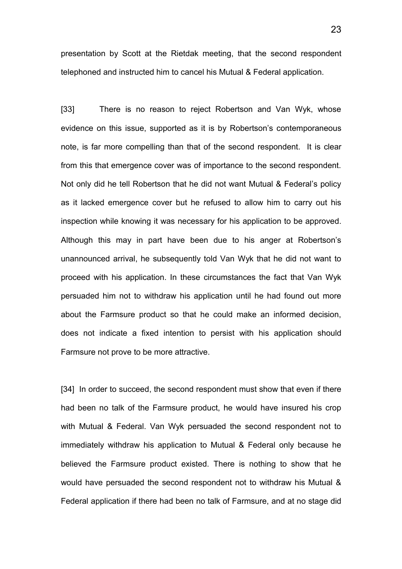presentation by Scott at the Rietdak meeting, that the second respondent telephoned and instructed him to cancel his Mutual & Federal application.

[33] There is no reason to reject Robertson and Van Wyk, whose evidence on this issue, supported as it is by Robertson's contemporaneous note, is far more compelling than that of the second respondent. It is clear from this that emergence cover was of importance to the second respondent. Not only did he tell Robertson that he did not want Mutual & Federal's policy as it lacked emergence cover but he refused to allow him to carry out his inspection while knowing it was necessary for his application to be approved. Although this may in part have been due to his anger at Robertson's unannounced arrival, he subsequently told Van Wyk that he did not want to proceed with his application. In these circumstances the fact that Van Wyk persuaded him not to withdraw his application until he had found out more about the Farmsure product so that he could make an informed decision, does not indicate a fixed intention to persist with his application should Farmsure not prove to be more attractive.

[34] In order to succeed, the second respondent must show that even if there had been no talk of the Farmsure product, he would have insured his crop with Mutual & Federal. Van Wyk persuaded the second respondent not to immediately withdraw his application to Mutual & Federal only because he believed the Farmsure product existed. There is nothing to show that he would have persuaded the second respondent not to withdraw his Mutual & Federal application if there had been no talk of Farmsure, and at no stage did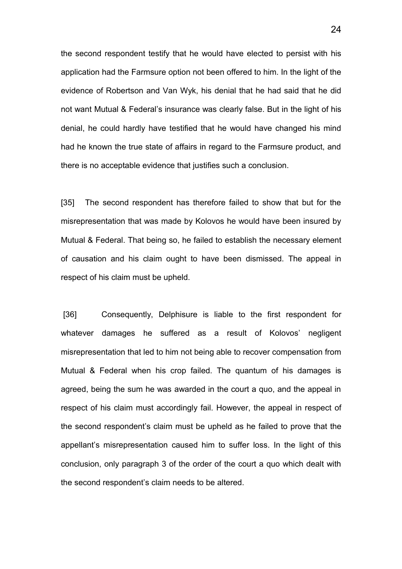the second respondent testify that he would have elected to persist with his application had the Farmsure option not been offered to him. In the light of the evidence of Robertson and Van Wyk, his denial that he had said that he did not want Mutual & Federal's insurance was clearly false. But in the light of his denial, he could hardly have testified that he would have changed his mind had he known the true state of affairs in regard to the Farmsure product, and there is no acceptable evidence that justifies such a conclusion.

[35] The second respondent has therefore failed to show that but for the misrepresentation that was made by Kolovos he would have been insured by Mutual & Federal. That being so, he failed to establish the necessary element of causation and his claim ought to have been dismissed. The appeal in respect of his claim must be upheld.

[36] Consequently, Delphisure is liable to the first respondent for whatever damages he suffered as a result of Kolovos' negligent misrepresentation that led to him not being able to recover compensation from Mutual & Federal when his crop failed. The quantum of his damages is agreed, being the sum he was awarded in the court a quo, and the appeal in respect of his claim must accordingly fail. However, the appeal in respect of the second respondent's claim must be upheld as he failed to prove that the appellant's misrepresentation caused him to suffer loss. In the light of this conclusion, only paragraph 3 of the order of the court a quo which dealt with the second respondent's claim needs to be altered.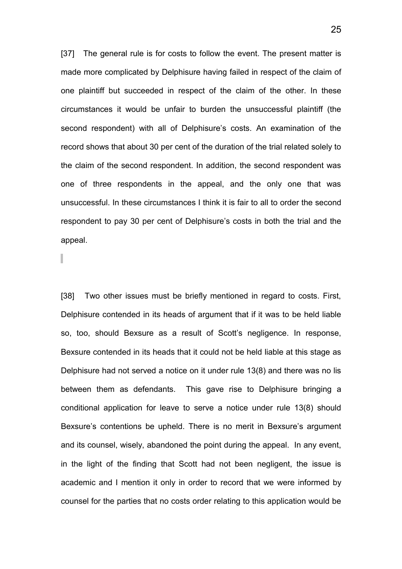[37] The general rule is for costs to follow the event. The present matter is made more complicated by Delphisure having failed in respect of the claim of one plaintiff but succeeded in respect of the claim of the other. In these circumstances it would be unfair to burden the unsuccessful plaintiff (the second respondent) with all of Delphisure's costs. An examination of the record shows that about 30 per cent of the duration of the trial related solely to the claim of the second respondent. In addition, the second respondent was one of three respondents in the appeal, and the only one that was unsuccessful. In these circumstances I think it is fair to all to order the second respondent to pay 30 per cent of Delphisure's costs in both the trial and the appeal.

[38] Two other issues must be briefly mentioned in regard to costs. First, Delphisure contended in its heads of argument that if it was to be held liable so, too, should Bexsure as a result of Scott's negligence. In response, Bexsure contended in its heads that it could not be held liable at this stage as Delphisure had not served a notice on it under rule 13(8) and there was no lis between them as defendants. This gave rise to Delphisure bringing a conditional application for leave to serve a notice under rule 13(8) should Bexsure's contentions be upheld. There is no merit in Bexsure's argument and its counsel, wisely, abandoned the point during the appeal. In any event, in the light of the finding that Scott had not been negligent, the issue is academic and I mention it only in order to record that we were informed by counsel for the parties that no costs order relating to this application would be

25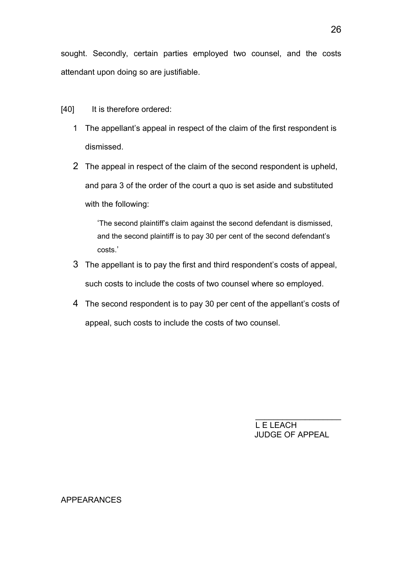sought. Secondly, certain parties employed two counsel, and the costs attendant upon doing so are justifiable.

[40] It is therefore ordered:

- 1 The appellant's appeal in respect of the claim of the first respondent is dismissed.
- 2 The appeal in respect of the claim of the second respondent is upheld, and para 3 of the order of the court a quo is set aside and substituted with the following:

'The second plaintiff's claim against the second defendant is dismissed, and the second plaintiff is to pay 30 per cent of the second defendant's costs.'

- 3 The appellant is to pay the first and third respondent's costs of appeal, such costs to include the costs of two counsel where so employed.
- 4 The second respondent is to pay 30 per cent of the appellant's costs of appeal, such costs to include the costs of two counsel.

L E LEACH JUDGE OF APPEAL

 $\_$ 

#### APPEARANCES